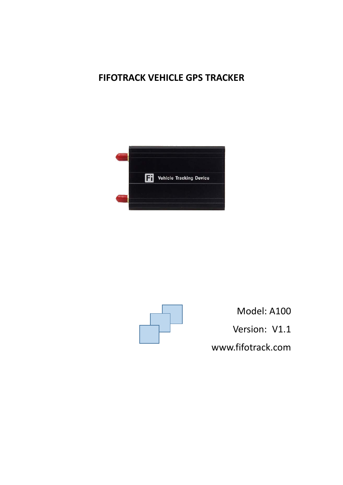# **FIFOTRACK VEHICLE GPS TRACKER**





Model: A100 Version: V1.1 [www.fifotrack.com](http://www.fifotrack.com/)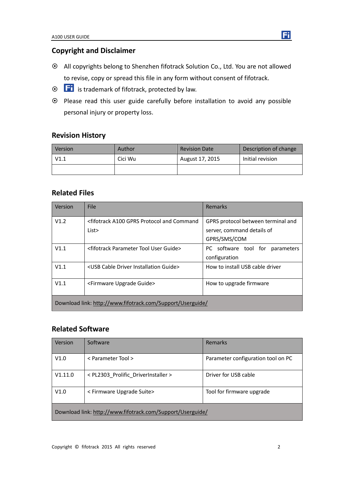## **Copyright and Disclaimer**

- All copyrights belong to Shenzhen fifotrack Solution Co., Ltd. You are not allowed to revise, copy or spread this file in any form without consent of fifotrack.
- $\odot$  **Fi** is trademark of fifotrack, protected by law.
- Please read this user guide carefully before installation to avoid any possible personal injury or property loss.

## **Revision History**

| <b>Version</b> | Author  | <b>Revision Date</b> | Description of change |
|----------------|---------|----------------------|-----------------------|
| V1.1           | Cici Wu | August 17, 2015      | Initial revision      |
|                |         |                      |                       |

## **Related Files**

| Version                                                    | <b>File</b>                                                                                                                         | Remarks                            |  |
|------------------------------------------------------------|-------------------------------------------------------------------------------------------------------------------------------------|------------------------------------|--|
| V1.2                                                       | <fifotrack a100="" and="" command<="" gprs="" protocol="" td=""><td colspan="2">GPRS protocol between terminal and</td></fifotrack> | GPRS protocol between terminal and |  |
|                                                            | List>                                                                                                                               | server, command details of         |  |
|                                                            |                                                                                                                                     | GPRS/SMS/COM                       |  |
| V1.1                                                       | <fifotrack guide="" parameter="" tool="" user=""></fifotrack>                                                                       | PC software tool for<br>parameters |  |
|                                                            |                                                                                                                                     | configuration                      |  |
| V1.1                                                       | <usb cable="" driver="" guide="" installation=""></usb>                                                                             | How to install USB cable driver    |  |
| V1.1                                                       | <firmware guide="" upgrade=""></firmware>                                                                                           | How to upgrade firmware            |  |
| Download link: http://www.fifotrack.com/Support/Userguide/ |                                                                                                                                     |                                    |  |

## **Related Software**

| Version                                                    | Software                            | Remarks                            |
|------------------------------------------------------------|-------------------------------------|------------------------------------|
| V1.0                                                       | < Parameter Tool >                  | Parameter configuration tool on PC |
| V1.11.0                                                    | < PL2303_Prolific_DriverInstaller > | Driver for USB cable               |
| V1.0                                                       | < Firmware Upgrade Suite>           | Tool for firmware upgrade          |
| Download link: http://www.fifotrack.com/Support/Userguide/ |                                     |                                    |

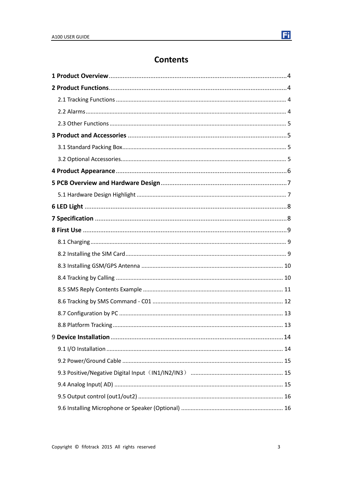# **Contents**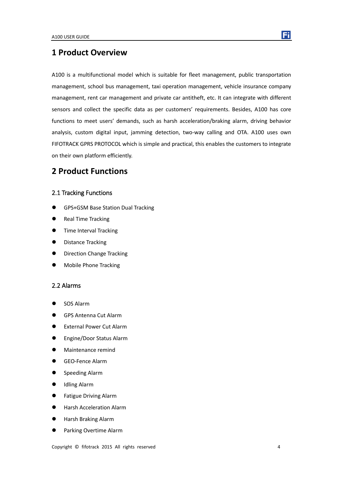## <span id="page-3-0"></span>**1 Product Overview**

A100 is a multifunctional model which is suitable for fleet management, public transportation management, school bus management, taxi operation management, vehicle insurance company management, rent car management and private car antitheft, etc. It can integrate with different sensors and collect the specific data as per customers' requirements. Besides, A100 has core functions to meet users' demands, such as harsh acceleration/braking alarm, driving behavior analysis, custom digital input, jamming detection, two-way calling and OTA. A100 uses own FIFOTRACK GPRS PROTOCOL which is simple and practical, this enables the customers to integrate on their own platform efficiently.

## <span id="page-3-1"></span>**2 Product Functions**

#### <span id="page-3-2"></span>2.1 Tracking Functions

- GPS+GSM Base Station Dual Tracking
- Real Time Tracking
- **•** Time Interval Tracking
- Distance Tracking
- Direction Change Tracking
- <span id="page-3-3"></span>Mobile Phone Tracking

#### 2.2 Alarms

- SOS Alarm
- GPS Antenna Cut Alarm
- **External Power Cut Alarm**
- **•** Engine/Door Status Alarm
- Maintenance remind
- GEO-Fence Alarm
- **•** Speeding Alarm
- Idling Alarm
- **•** Fatigue Driving Alarm
- **•** Harsh Acceleration Alarm
- Harsh Braking Alarm
- Parking Overtime Alarm

Copyright © fifotrack 2015 All rights reserved 4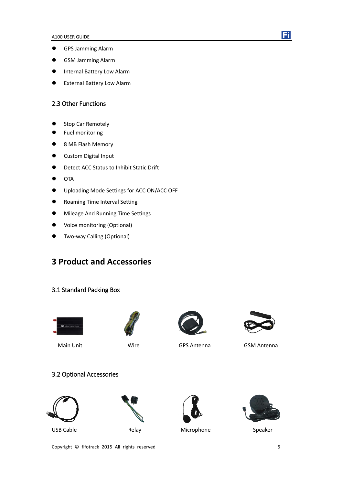- GPS Jamming Alarm
- GSM Jamming Alarm
- **•** Internal Battery Low Alarm
- <span id="page-4-0"></span>External Battery Low Alarm

#### 2.3 Other Functions

- Stop Car Remotely
- **•** Fuel monitoring
- 8 MB Flash Memory
- Custom Digital Input
- Detect ACC Status to Inhibit Static Drift
- $\bullet$  OTA
- Uploading Mode Settings for ACC ON/ACC OFF
- **•** Roaming Time Interval Setting
- $\bullet$  Mileage And Running Time Settings
- Voice monitoring (Optional)
- <span id="page-4-1"></span>Two-way Calling (Optional)

## **3 Product and Accessories**

#### <span id="page-4-2"></span>3.1 Standard Packing Box









Main Unit Wire GPS Antenna GSM Antenna

## <span id="page-4-3"></span>3.2 Optional Accessories



USB Cable **Relay** Microphone Speaker







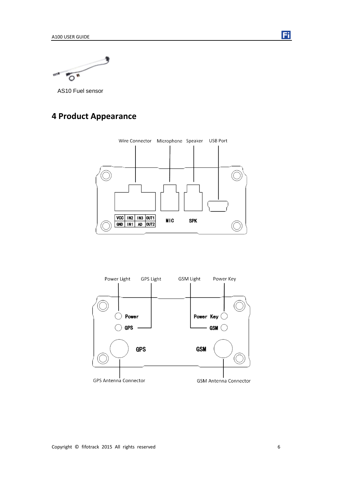$\sigma$ 

<span id="page-5-0"></span>AS10 Fuel sensor

# **4 Product Appearance**





Copyright © fifotrack 2015 All rights reserved 6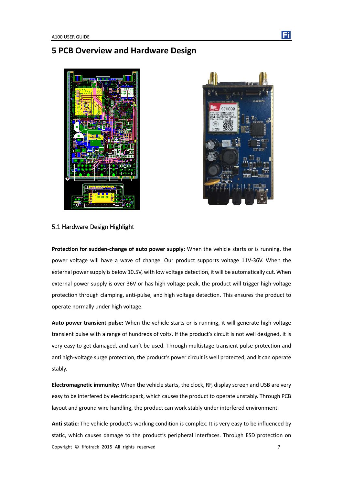# <span id="page-6-0"></span>**5 PCB Overview and Hardware Design**





#### <span id="page-6-1"></span>5.1 Hardware Design Highlight

**Protection for sudden-change of auto power supply:** When the vehicle starts or is running, the power voltage will have a wave of change. Our product supports voltage 11V-36V. When the external power supply is below 10.5V, with low voltage detection, it will be automatically cut. When external power supply is over 36V or has high voltage peak, the product will trigger high-voltage protection through clamping, anti-pulse, and high voltage detection. This ensures the product to operate normally under high voltage.

**Auto power transient pulse:** When the vehicle starts or is running, it will generate high-voltage transient pulse with a range of hundreds of volts. If the product's circuit is not well designed, it is very easy to get damaged, and can't be used. Through multistage transient pulse protection and anti high-voltage surge protection, the product's power circuit is well protected, and it can operate stably.

**Electromagnetic immunity:** When the vehicle starts, the clock, RF, display screen and USB are very easy to be interfered by electric spark, which causes the product to operate unstably. Through PCB layout and ground wire handling, the product can work stably under interfered environment.

Copyright © fifotrack 2015 All rights reserved 7 **Anti static:** The vehicle product's working condition is complex. It is very easy to be influenced by static, which causes damage to the product's peripheral interfaces. Through ESD protection on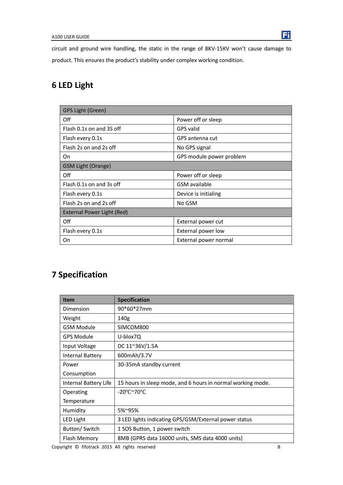circuit and ground wire handling, the static in the range of 8KV-15KV won't cause damage to product. This ensures the product's stability under complex working condition.

# <span id="page-7-0"></span>**6 LED Light**

| GPS Light (Green)          |                          |  |
|----------------------------|--------------------------|--|
| Off                        | Power off or sleep       |  |
| Flash 0.1s on and 3S off   | GPS valid                |  |
| Flash every 0.1s           | GPS antenna cut          |  |
| Flash 2s on and 2s off     | No GPS signal            |  |
| On                         | GPS module power problem |  |
| <b>GSM Light (Orange)</b>  |                          |  |
| Off                        | Power off or sleep       |  |
| Flash 0.1s on and 3s off   | <b>GSM</b> available     |  |
| Flash every 0.1s           | Device is initialing     |  |
| Flash 2s on and 2s off     | No GSM                   |  |
| External Power Light (Red) |                          |  |
| Off                        | External power cut       |  |
| Flash every 0.1s           | External power low       |  |
| On                         | External power normal    |  |

# <span id="page-7-1"></span>**7 Specification**

| <b>Item</b>             | <b>Specification</b>                                        |
|-------------------------|-------------------------------------------------------------|
| Dimension               | 90*60*27mm                                                  |
| Weight                  | 140g                                                        |
| <b>GSM Module</b>       | SIMCOM800                                                   |
| GPS Module              | U-blox7Q                                                    |
| Input Voltage           | DC 11~36V/1.5A                                              |
| <b>Internal Battery</b> | 600mAh/3.7V                                                 |
| Power                   | 30-35mA standby current                                     |
| Consumption             |                                                             |
| Internal Battery Life   | 15 hours in sleep mode, and 6 hours in normal working mode. |
| Operating               | $-20^{\circ}$ C $\sim$ 70 $^{\circ}$ C                      |
| Temperature             |                                                             |
| Humidity                | 5%~95%                                                      |
| <b>LED Light</b>        | 3 LED lights indicating GPS/GSM/External power status       |
| Button/ Switch          | 1 SOS Button, 1 power switch                                |
| Flash Memory            | 8MB (GPRS data 16000 units, SMS data 4000 units)            |

Copyright © fifotrack 2015 All rights reserved 8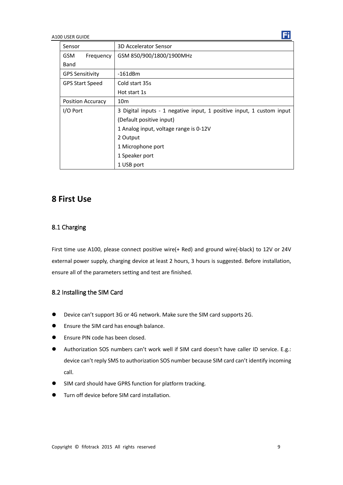| Sensor                   | 3D Accelerator Sensor                                                 |  |
|--------------------------|-----------------------------------------------------------------------|--|
| <b>GSM</b><br>Frequency  | GSM 850/900/1800/1900MHz                                              |  |
| Band                     |                                                                       |  |
| <b>GPS Sensitivity</b>   | $-161$ d $Bm$                                                         |  |
| <b>GPS Start Speed</b>   | Cold start 35s                                                        |  |
|                          | Hot start 1s                                                          |  |
| <b>Position Accuracy</b> | 10 <sub>m</sub>                                                       |  |
| I/O Port                 | 3 Digital inputs - 1 negative input, 1 positive input, 1 custom input |  |
| (Default positive input) |                                                                       |  |
|                          | 1 Analog input, voltage range is 0-12V                                |  |
|                          | 2 Output                                                              |  |
|                          | 1 Microphone port                                                     |  |
|                          | 1 Speaker port                                                        |  |
|                          | 1 USB port                                                            |  |

# <span id="page-8-0"></span>**8 First Use**

#### <span id="page-8-1"></span>8.1 Charging

First time use A100, please connect positive wire(+ Red) and ground wire(-black) to 12V or 24V external power supply, charging device at least 2 hours, 3 hours is suggested. Before installation, ensure all of the parameters setting and test are finished.

### <span id="page-8-2"></span>8.2 Installing the SIM Card

- Device can't support 3G or 4G network. Make sure the SIM card supports 2G.
- **•** Ensure the SIM card has enough balance.
- Ensure PIN code has been closed.
- Authorization SOS numbers can't work well if SIM card doesn't have caller ID service. E.g.: device can't reply SMS to authorization SOS number because SIM card can't identify incoming call.
- SIM card should have GPRS function for platform tracking.
- Turn off device before SIM card installation.

Ħ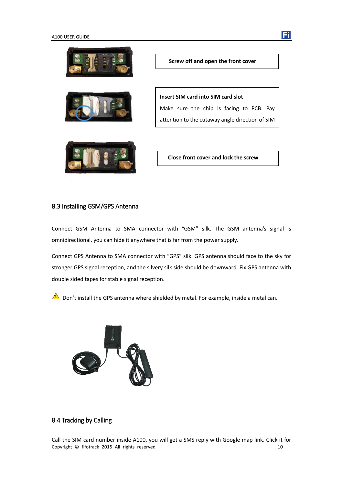





**Insert SIM card into SIM card slot** Make sure the chip is facing to PCB. Pay attention to the cutaway angle direction of SIM

**Close front cover and lock the screw**

### <span id="page-9-0"></span>8.3 Installing GSM/GPS Antenna

Connect GSM Antenna to SMA connector with "GSM" silk. The GSM antenna's signal is omnidirectional, you can hide it anywhere that is far from the power supply.

Connect GPS Antenna to SMA connector with "GPS" silk. GPS antenna should face to the sky for stronger GPS signal reception, and the silvery silk side should be downward. Fix GPS antenna with double sided tapes for stable signal reception.

 $\triangle$  Don't install the GPS antenna where shielded by metal. For example, inside a metal can.



### <span id="page-9-1"></span>8.4 Tracking by Calling

Copyright © fifotrack 2015 All rights reserved 10 Call the SIM card number inside A100, you will get a SMS reply with Google map link. Click it for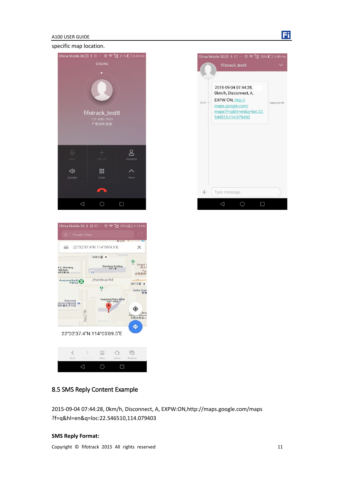

#### specific map location.







### <span id="page-10-0"></span>8.5 SMS Reply Content Example

2015-09-04 07:44:28, 0km/h, Disconnect, A, EXPW:ON,http://maps.google.com/maps ?f=q&hl=en&q=loc:22.546510,114.079403

#### **SMS Reply Format:**

Copyright © fifotrack 2015 All rights reserved 11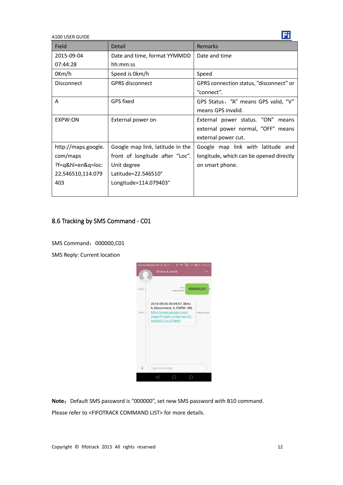| Field               | <b>Detail</b>                    | <b>Remarks</b>                          |
|---------------------|----------------------------------|-----------------------------------------|
| 2015-09-04          | Date and time, format YYMMDD     | Date and time                           |
| 07:44:28            | hh:mm:ss                         |                                         |
| 0Km/h               | Speed is 0km/h                   | Speed                                   |
| Disconnect          | <b>GPRS disconnect</b>           | GPRS connection status, "disconnect" or |
|                     |                                  | "connect".                              |
| A                   | GPS fixed                        | GPS Status, "A" means GPS valid, "V"    |
|                     |                                  | means GPS invalid.                      |
| EXPW:ON             | External power on                | External power status. "ON" means       |
|                     |                                  | external power normal, "OFF" means      |
|                     |                                  | external power cut.                     |
| http://maps.google. | Google map link, latitude in the | Google map link with latitude and       |
| com/maps            | front of longitude after "Loc".  | longitude, which can be opened directly |
| ?f=q&hl=en&q=loc:   | Unit degree                      | on smart phone.                         |
| 22.546510,114.079   | Latitude=22.546510°              |                                         |
| 403                 | Longitude=114.079403°            |                                         |
|                     |                                  |                                         |

## <span id="page-11-0"></span>8.6 Tracking by SMS Command - C01

SMS Command: 000000,C01

SMS Reply: Current location



Note: Default SMS password is "000000", set new SMS password with B10 command. Please refer to <FIFOTRACK COMMAND LIST> for more details.

Ħ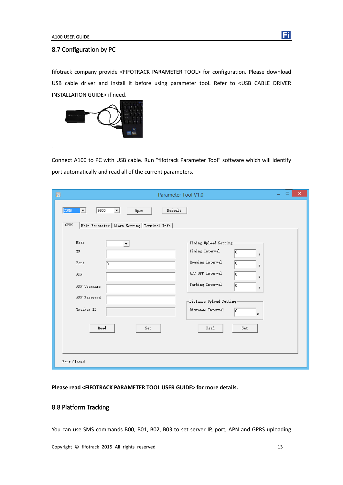#### <span id="page-12-0"></span>8.7 Configuration by PC

fifotrack company provide <FIFOTRACK PARAMETER TOOL> for configuration. Please download USB cable driver and install it before using parameter tool. Refer to <USB CABLE DRIVER INSTALLATION GUIDE> if need.



Connect A100 to PC with USB cable. Run "fifotrack Parameter Tool" software which will identify port automatically and read all of the current parameters.

| Ð<br>Parameter Tool V1.0                                                                                                                                                                                                                                                                                                                                     | × |
|--------------------------------------------------------------------------------------------------------------------------------------------------------------------------------------------------------------------------------------------------------------------------------------------------------------------------------------------------------------|---|
| 9600<br>Default<br>COM6<br>▾╎<br>Open<br>▼<br>GPRS<br>Main Parameter   Alarm Setting   Terminal Info                                                                                                                                                                                                                                                         |   |
| Mode<br>-Timing Upload Setting-<br>$\blacktriangledown$<br>Timing Interval<br>IP<br>lo.<br>s.<br>Roaming Interval<br>Port<br>lo<br>I٥<br>z.<br>ACC OFF Interval<br>APN<br>10<br>z.<br>Parking Interval<br>Iо<br>APN Username<br>z.<br>APN Password<br>-Distance Upload Setting-<br>Tracker ID<br>Distance Interval<br>lo.<br>m<br>Read<br>Read<br>Set<br>Set |   |
| Port Closed                                                                                                                                                                                                                                                                                                                                                  |   |

#### <span id="page-12-1"></span>**Please read <FIFOTRACK PARAMETER TOOL USER GUIDE> for more details.**

## 8.8 Platform Tracking

You can use SMS commands B00, B01, B02, B03 to set server IP, port, APN and GPRS uploading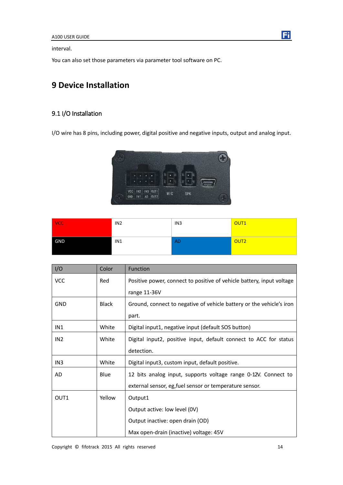interval.

<span id="page-13-0"></span>You can also set those parameters via parameter tool software on PC.

# **9 Device Installation**

## <span id="page-13-1"></span>9.1 I/O Installation

I/O wire has 8 pins, including power, digital positive and negative inputs, output and analog input.



| $ {\sf VCC} $ | IN <sub>2</sub> | IN3       | OUT <sub>1</sub> |
|---------------|-----------------|-----------|------------------|
| GND           | IN1             | <b>AD</b> | OUT <sub>2</sub> |

| I/O              | Color        | <b>Function</b>                                                       |
|------------------|--------------|-----------------------------------------------------------------------|
| <b>VCC</b>       | Red          | Positive power, connect to positive of vehicle battery, input voltage |
|                  |              | range 11-36V                                                          |
| <b>GND</b>       | <b>Black</b> | Ground, connect to negative of vehicle battery or the vehicle's iron  |
|                  |              | part.                                                                 |
| IN1              | White        | Digital input1, negative input (default SOS button)                   |
| IN <sub>2</sub>  | White        | Digital input2, positive input, default connect to ACC for status     |
|                  |              | detection.                                                            |
| IN <sub>3</sub>  | White        | Digital input3, custom input, default positive.                       |
| AD               | Blue         | 12 bits analog input, supports voltage range 0-12V. Connect to        |
|                  |              | external sensor, eg, fuel sensor or temperature sensor.               |
| OUT <sub>1</sub> | Yellow       | Output1                                                               |
|                  |              | Output active: low level (0V)                                         |
|                  |              | Output inactive: open drain (OD)                                      |
|                  |              | Max open-drain (inactive) voltage: 45V                                |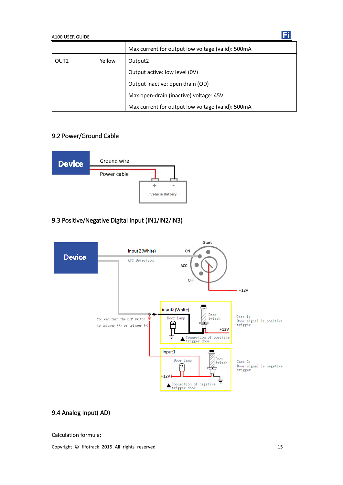|                  |        | Max current for output low voltage (valid): 500mA |
|------------------|--------|---------------------------------------------------|
| OUT <sub>2</sub> | Yellow | Output <sub>2</sub>                               |
|                  |        | Output active: low level (0V)                     |
|                  |        | Output inactive: open drain (OD)                  |
|                  |        | Max open-drain (inactive) voltage: 45V            |
|                  |        | Max current for output low voltage (valid): 500mA |

## <span id="page-14-0"></span>9.2 Power/Ground Cable



## <span id="page-14-1"></span>9.3 Positive/Negative Digital Input (IN1/IN2/IN3)



## <span id="page-14-2"></span>9.4 Analog Input( AD)

#### Calculation formula:

Copyright © fifotrack 2015 All rights reserved 15